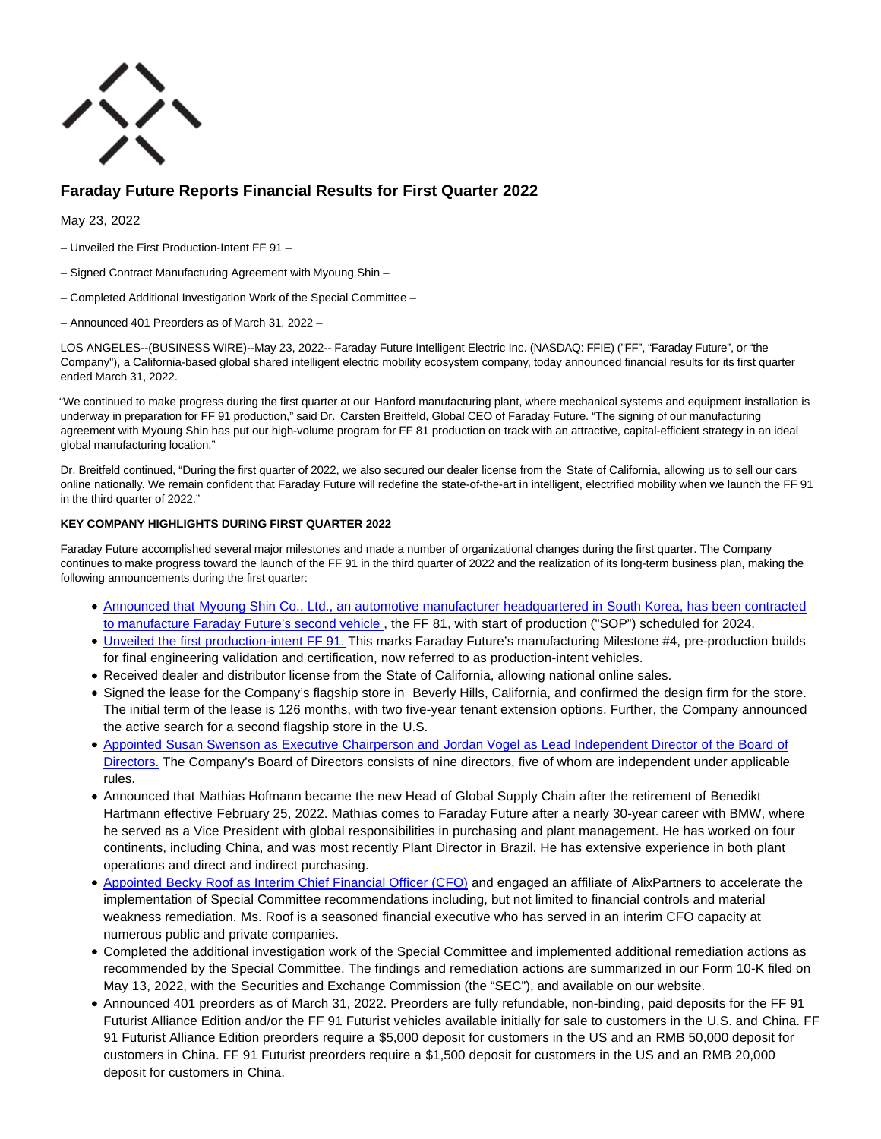

# **Faraday Future Reports Financial Results for First Quarter 2022**

## May 23, 2022

- Unveiled the First Production-Intent FF 91 –
- Signed Contract Manufacturing Agreement with Myoung Shin –
- Completed Additional Investigation Work of the Special Committee –
- Announced 401 Preorders as of March 31, 2022 –

LOS ANGELES--(BUSINESS WIRE)--May 23, 2022-- Faraday Future Intelligent Electric Inc. (NASDAQ: FFIE) ("FF", "Faraday Future", or "the Company"), a California-based global shared intelligent electric mobility ecosystem company, today announced financial results for its first quarter ended March 31, 2022.

"We continued to make progress during the first quarter at our Hanford manufacturing plant, where mechanical systems and equipment installation is underway in preparation for FF 91 production," said Dr. Carsten Breitfeld, Global CEO of Faraday Future. "The signing of our manufacturing agreement with Myoung Shin has put our high-volume program for FF 81 production on track with an attractive, capital-efficient strategy in an ideal global manufacturing location."

Dr. Breitfeld continued, "During the first quarter of 2022, we also secured our dealer license from the State of California, allowing us to sell our cars online nationally. We remain confident that Faraday Future will redefine the state-of-the-art in intelligent, electrified mobility when we launch the FF 91 in the third quarter of 2022."

## **KEY COMPANY HIGHLIGHTS DURING FIRST QUARTER 2022**

Faraday Future accomplished several major milestones and made a number of organizational changes during the first quarter. The Company continues to make progress toward the launch of the FF 91 in the third quarter of 2022 and the realization of its long-term business plan, making the following announcements during the first quarter:

- [Announced that Myoung Shin Co., Ltd., an automotive manufacturer headquartered in South Korea, has been contracted](https://cts.businesswire.com/ct/CT?id=smartlink&url=https%3A%2F%2Finvestors.ff.com%2Fnews-releases%2Fnews-release-details%2Ffaraday-future-announces-partnership-myoung-shin-ff-81&esheet=52728632&newsitemid=20220523005988&lan=en-US&anchor=Announced+that+Myoung+Shin+Co.%2C+Ltd.%2C+an+automotive+manufacturer+headquartered+in+South+Korea%2C+has+been+contracted+to+manufacture+Faraday+Future%26%238217%3Bs+second+vehicle&index=1&md5=ed24938edad2b7c35db722f0dea2a65c) to manufacture Faraday Future's second vehicle , the FF 81, with start of production ("SOP") scheduled for 2024.
- [Unveiled the first production-intent FF 91.](https://cts.businesswire.com/ct/CT?id=smartlink&url=https%3A%2F%2Finvestors.ff.com%2Fnews-releases%2Fnews-release-details%2Ffaraday-future-unveils-first-production-intent-ff-91-ev&esheet=52728632&newsitemid=20220523005988&lan=en-US&anchor=Unveiled+the+first+production-intent+FF+91.&index=2&md5=36151e4fcf33b6bf4c6177f2784ca5d0) This marks Faraday Future's manufacturing Milestone #4, pre-production builds for final engineering validation and certification, now referred to as production-intent vehicles.
- Received dealer and distributor license from the State of California, allowing national online sales.
- Signed the lease for the Company's flagship store in Beverly Hills, California, and confirmed the design firm for the store. The initial term of the lease is 126 months, with two five-year tenant extension options. Further, the Company announced the active search for a second flagship store in the U.S.
- [Appointed Susan Swenson as Executive Chairperson and Jordan Vogel as Lead Independent Director of the Board of](https://cts.businesswire.com/ct/CT?id=smartlink&url=https%3A%2F%2Finvestors.ff.com%2Fnews-releases%2Fnews-release-details%2Ffaraday-future-intelligent-electric-inc-announces-completion&esheet=52728632&newsitemid=20220523005988&lan=en-US&anchor=Appointed+Susan+Swenson+as+Executive+Chairperson+and+Jordan+Vogel+as+Lead+Independent+Director+of+the+Board+of+Directors.&index=3&md5=044ba36bccdb298d07d0006de594fb14) Directors. The Company's Board of Directors consists of nine directors, five of whom are independent under applicable rules.
- Announced that Mathias Hofmann became the new Head of Global Supply Chain after the retirement of Benedikt Hartmann effective February 25, 2022. Mathias comes to Faraday Future after a nearly 30-year career with BMW, where he served as a Vice President with global responsibilities in purchasing and plant management. He has worked on four continents, including China, and was most recently Plant Director in Brazil. He has extensive experience in both plant operations and direct and indirect purchasing.
- [Appointed Becky Roof as Interim Chief Financial Officer \(CFO\) a](https://cts.businesswire.com/ct/CT?id=smartlink&url=https%3A%2F%2Finvestors.ff.com%2Fnews-releases%2Fnews-release-details%2Ffaraday-future-announces-management-transition&esheet=52728632&newsitemid=20220523005988&lan=en-US&anchor=Appointed+Becky+Roof+as+Interim+Chief+Financial+Officer+%28CFO%29&index=4&md5=f706bbc07f4a8e15277ec0748f50f8cd)nd engaged an affiliate of AlixPartners to accelerate the implementation of Special Committee recommendations including, but not limited to financial controls and material weakness remediation. Ms. Roof is a seasoned financial executive who has served in an interim CFO capacity at numerous public and private companies.
- Completed the additional investigation work of the Special Committee and implemented additional remediation actions as recommended by the Special Committee. The findings and remediation actions are summarized in our Form 10-K filed on May 13, 2022, with the Securities and Exchange Commission (the "SEC"), and available on our website.
- Announced 401 preorders as of March 31, 2022. Preorders are fully refundable, non-binding, paid deposits for the FF 91 Futurist Alliance Edition and/or the FF 91 Futurist vehicles available initially for sale to customers in the U.S. and China. FF 91 Futurist Alliance Edition preorders require a \$5,000 deposit for customers in the US and an RMB 50,000 deposit for customers in China. FF 91 Futurist preorders require a \$1,500 deposit for customers in the US and an RMB 20,000 deposit for customers in China.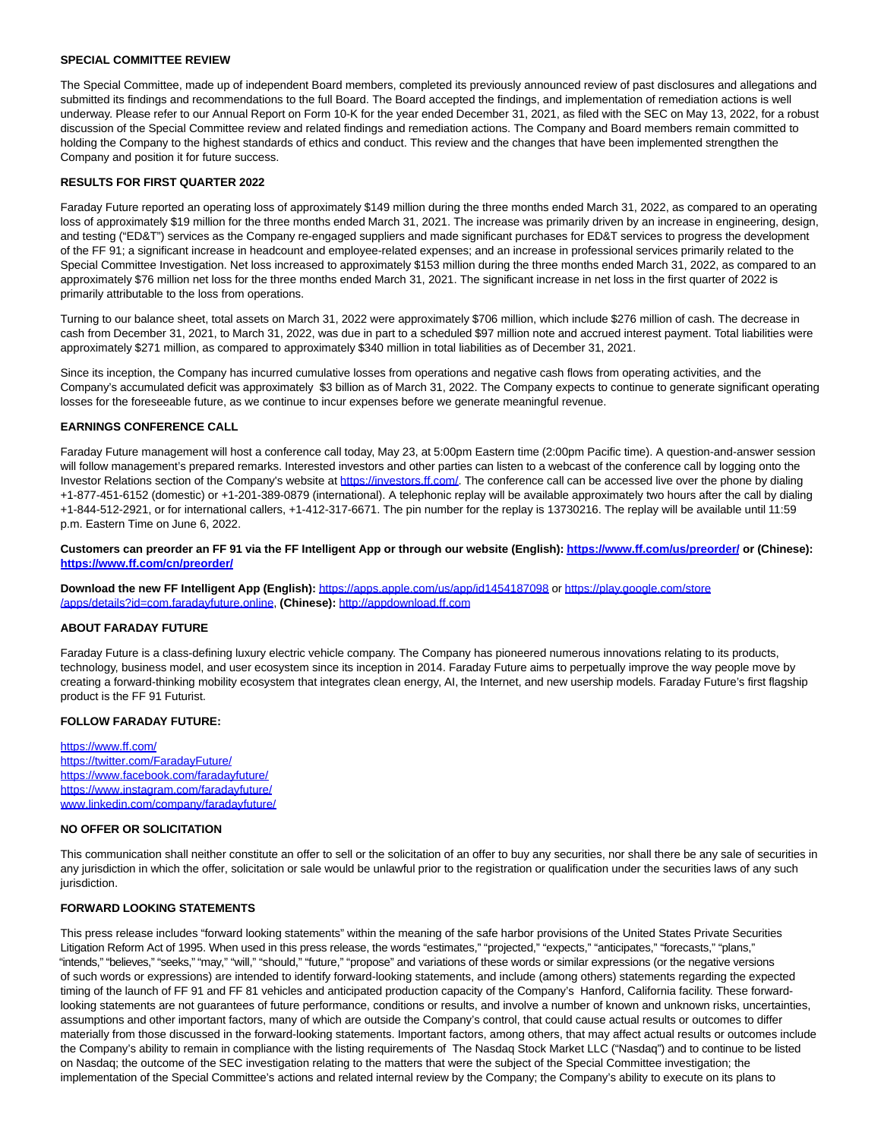#### **SPECIAL COMMITTEE REVIEW**

The Special Committee, made up of independent Board members, completed its previously announced review of past disclosures and allegations and submitted its findings and recommendations to the full Board. The Board accepted the findings, and implementation of remediation actions is well underway. Please refer to our Annual Report on Form 10-K for the year ended December 31, 2021, as filed with the SEC on May 13, 2022, for a robust discussion of the Special Committee review and related findings and remediation actions. The Company and Board members remain committed to holding the Company to the highest standards of ethics and conduct. This review and the changes that have been implemented strengthen the Company and position it for future success.

## **RESULTS FOR FIRST QUARTER 2022**

Faraday Future reported an operating loss of approximately \$149 million during the three months ended March 31, 2022, as compared to an operating loss of approximately \$19 million for the three months ended March 31, 2021. The increase was primarily driven by an increase in engineering, design, and testing ("ED&T") services as the Company re-engaged suppliers and made significant purchases for ED&T services to progress the development of the FF 91; a significant increase in headcount and employee-related expenses; and an increase in professional services primarily related to the Special Committee Investigation. Net loss increased to approximately \$153 million during the three months ended March 31, 2022, as compared to an approximately \$76 million net loss for the three months ended March 31, 2021. The significant increase in net loss in the first quarter of 2022 is primarily attributable to the loss from operations.

Turning to our balance sheet, total assets on March 31, 2022 were approximately \$706 million, which include \$276 million of cash. The decrease in cash from December 31, 2021, to March 31, 2022, was due in part to a scheduled \$97 million note and accrued interest payment. Total liabilities were approximately \$271 million, as compared to approximately \$340 million in total liabilities as of December 31, 2021.

Since its inception, the Company has incurred cumulative losses from operations and negative cash flows from operating activities, and the Company's accumulated deficit was approximately \$3 billion as of March 31, 2022. The Company expects to continue to generate significant operating losses for the foreseeable future, as we continue to incur expenses before we generate meaningful revenue.

#### **EARNINGS CONFERENCE CALL**

Faraday Future management will host a conference call today, May 23, at 5:00pm Eastern time (2:00pm Pacific time). A question-and-answer session will follow management's prepared remarks. Interested investors and other parties can listen to a webcast of the conference call by logging onto the Investor Relations section of the Company's website at [https://investors.ff.com/.](https://cts.businesswire.com/ct/CT?id=smartlink&url=https%3A%2F%2Finvestors.ff.com%2F&esheet=52728632&newsitemid=20220523005988&lan=en-US&anchor=https%3A%2F%2Finvestors.ff.com%2F&index=5&md5=6f4335507e8db3e8883120d893773e64) The conference call can be accessed live over the phone by dialing +1-877-451-6152 (domestic) or +1-201-389-0879 (international). A telephonic replay will be available approximately two hours after the call by dialing +1-844-512-2921, or for international callers, +1-412-317-6671. The pin number for the replay is 13730216. The replay will be available until 11:59 p.m. Eastern Time on June 6, 2022.

**Customers can preorder an FF 91 via the FF Intelligent App or through our website (English)[: https://www.ff.com/us/preorder/ o](https://cts.businesswire.com/ct/CT?id=smartlink&url=https%3A%2F%2Fwww.ff.com%2Fus%2Fpreorder%2F&esheet=52728632&newsitemid=20220523005988&lan=en-US&anchor=https%3A%2F%2Fwww.ff.com%2Fus%2Fpreorder%2F&index=6&md5=3a63e5bc54da006ff69a8c82c7bec058)r (Chinese): [https://www.ff.com/cn/preorder/](https://cts.businesswire.com/ct/CT?id=smartlink&url=https%3A%2F%2Fwww.ff.com%2Fcn%2Fpreorder%2F&esheet=52728632&newsitemid=20220523005988&lan=en-US&anchor=https%3A%2F%2Fwww.ff.com%2Fcn%2Fpreorder%2F&index=7&md5=49f7e3afb932ef54a309af761bffe73f)**

**Download the new FF Intelligent App (English):** [https://apps.apple.com/us/app/id1454187098 o](https://cts.businesswire.com/ct/CT?id=smartlink&url=https%3A%2F%2Fapps.apple.com%2Fus%2Fapp%2Fid1454187098&esheet=52728632&newsitemid=20220523005988&lan=en-US&anchor=https%3A%2F%2Fapps.apple.com%2Fus%2Fapp%2Fid1454187098&index=8&md5=4b6fdc0089650e0ea904f3b976b33b44)r [https://play.google.com/store](https://cts.businesswire.com/ct/CT?id=smartlink&url=https%3A%2F%2Fplay.google.com%2Fstore%2Fapps%2Fdetails%3Fid%3Dcom.faradayfuture.online&esheet=52728632&newsitemid=20220523005988&lan=en-US&anchor=https%3A%2F%2Fplay.google.com%2Fstore%2Fapps%2Fdetails%3Fid%3Dcom.faradayfuture.online&index=9&md5=9f2b3d931b0604868edc45b7eb61871b) /apps/details?id=com.faradayfuture.online, **(Chinese):** [http://appdownload.ff.com](https://cts.businesswire.com/ct/CT?id=smartlink&url=http%3A%2F%2Fappdownload.ff.com&esheet=52728632&newsitemid=20220523005988&lan=en-US&anchor=http%3A%2F%2Fappdownload.ff.com&index=10&md5=fee66aef52a3a972e435c93f36f02ff3)

#### **ABOUT FARADAY FUTURE**

Faraday Future is a class-defining luxury electric vehicle company. The Company has pioneered numerous innovations relating to its products, technology, business model, and user ecosystem since its inception in 2014. Faraday Future aims to perpetually improve the way people move by creating a forward-thinking mobility ecosystem that integrates clean energy, AI, the Internet, and new usership models. Faraday Future's first flagship product is the FF 91 Futurist.

## **FOLLOW FARADAY FUTURE:**

[https://www.ff.com/](https://cts.businesswire.com/ct/CT?id=smartlink&url=https%3A%2F%2Fwww.ff.com%2F&esheet=52728632&newsitemid=20220523005988&lan=en-US&anchor=https%3A%2F%2Fwww.ff.com%2F&index=11&md5=1f64d82fa25cf8061f0fe613fb0313d6) [https://twitter.com/FaradayFuture/](https://cts.businesswire.com/ct/CT?id=smartlink&url=https%3A%2F%2Ftwitter.com%2FFaradayFuture%2F&esheet=52728632&newsitemid=20220523005988&lan=en-US&anchor=https%3A%2F%2Ftwitter.com%2FFaradayFuture%2F&index=12&md5=7cbf11be3a53faf9f26f8cefab29a8c4) [https://www.facebook.com/faradayfuture/](https://cts.businesswire.com/ct/CT?id=smartlink&url=https%3A%2F%2Fwww.facebook.com%2Ffaradayfuture%2F&esheet=52728632&newsitemid=20220523005988&lan=en-US&anchor=https%3A%2F%2Fwww.facebook.com%2Ffaradayfuture%2F&index=13&md5=9de7c7e571b1c0f4f3a54c8f3ccc5b37) [https://www.instagram.com/faradayfuture/](https://cts.businesswire.com/ct/CT?id=smartlink&url=https%3A%2F%2Fwww.instagram.com%2Ffaradayfuture%2F&esheet=52728632&newsitemid=20220523005988&lan=en-US&anchor=https%3A%2F%2Fwww.instagram.com%2Ffaradayfuture%2F&index=14&md5=04716e90ca1eb0f1544d44f0942344dc) [www.linkedin.com/company/faradayfuture/](https://cts.businesswire.com/ct/CT?id=smartlink&url=http%3A%2F%2Fwww.linkedin.com%2Fcompany%2Ffaradayfuture%2F&esheet=52728632&newsitemid=20220523005988&lan=en-US&anchor=www.linkedin.com%2Fcompany%2Ffaradayfuture%2F&index=15&md5=840f28775625957caf47d0ca04a566ef)

#### **NO OFFER OR SOLICITATION**

This communication shall neither constitute an offer to sell or the solicitation of an offer to buy any securities, nor shall there be any sale of securities in any jurisdiction in which the offer, solicitation or sale would be unlawful prior to the registration or qualification under the securities laws of any such jurisdiction.

#### **FORWARD LOOKING STATEMENTS**

This press release includes "forward looking statements" within the meaning of the safe harbor provisions of the United States Private Securities Litigation Reform Act of 1995. When used in this press release, the words "estimates," "projected," "expects," "anticipates," "forecasts," "plans," "intends," "believes," "seeks," "may," "will," "should," "future," "propose" and variations of these words or similar expressions (or the negative versions of such words or expressions) are intended to identify forward-looking statements, and include (among others) statements regarding the expected timing of the launch of FF 91 and FF 81 vehicles and anticipated production capacity of the Company's Hanford, California facility. These forwardlooking statements are not guarantees of future performance, conditions or results, and involve a number of known and unknown risks, uncertainties, assumptions and other important factors, many of which are outside the Company's control, that could cause actual results or outcomes to differ materially from those discussed in the forward-looking statements. Important factors, among others, that may affect actual results or outcomes include the Company's ability to remain in compliance with the listing requirements of The Nasdaq Stock Market LLC ("Nasdaq") and to continue to be listed on Nasdaq; the outcome of the SEC investigation relating to the matters that were the subject of the Special Committee investigation; the implementation of the Special Committee's actions and related internal review by the Company; the Company's ability to execute on its plans to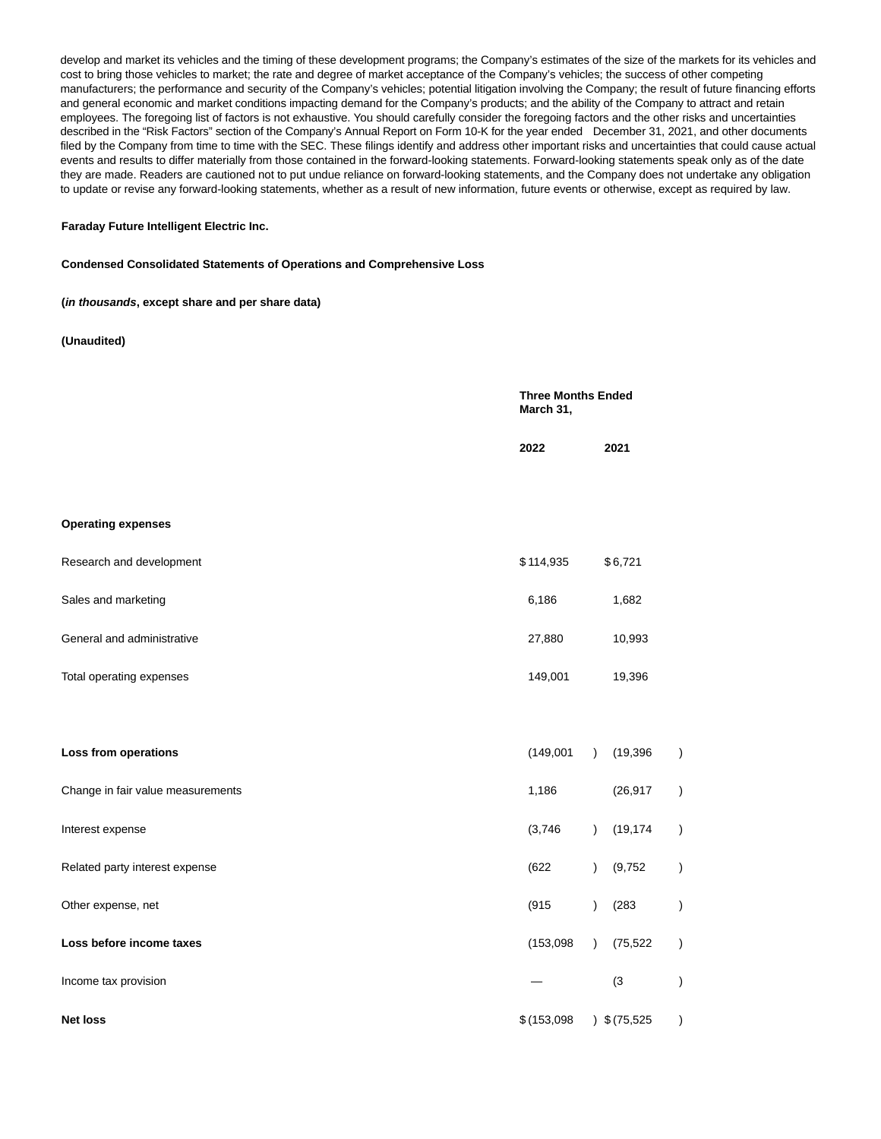develop and market its vehicles and the timing of these development programs; the Company's estimates of the size of the markets for its vehicles and cost to bring those vehicles to market; the rate and degree of market acceptance of the Company's vehicles; the success of other competing manufacturers; the performance and security of the Company's vehicles; potential litigation involving the Company; the result of future financing efforts and general economic and market conditions impacting demand for the Company's products; and the ability of the Company to attract and retain employees. The foregoing list of factors is not exhaustive. You should carefully consider the foregoing factors and the other risks and uncertainties described in the "Risk Factors" section of the Company's Annual Report on Form 10-K for the year ended December 31, 2021, and other documents filed by the Company from time to time with the SEC. These filings identify and address other important risks and uncertainties that could cause actual events and results to differ materially from those contained in the forward-looking statements. Forward-looking statements speak only as of the date they are made. Readers are cautioned not to put undue reliance on forward-looking statements, and the Company does not undertake any obligation to update or revise any forward-looking statements, whether as a result of new information, future events or otherwise, except as required by law.

#### **Faraday Future Intelligent Electric Inc.**

#### **Condensed Consolidated Statements of Operations and Comprehensive Loss**

#### **(in thousands, except share and per share data)**

#### **(Unaudited)**

|                                   | March 31,   | <b>Three Months Ended</b> |               |  |
|-----------------------------------|-------------|---------------------------|---------------|--|
|                                   |             | 2021                      |               |  |
|                                   |             |                           |               |  |
| <b>Operating expenses</b>         |             |                           |               |  |
| Research and development          | \$114,935   | \$6,721                   |               |  |
| Sales and marketing               | 6,186       | 1,682                     |               |  |
| General and administrative        | 27,880      | 10,993                    |               |  |
| Total operating expenses          | 149,001     | 19,396                    |               |  |
| Loss from operations              | (149,001)   | (19, 396)<br>$\lambda$    | $\big)$       |  |
|                                   |             |                           |               |  |
| Change in fair value measurements | 1,186       | (26, 917)                 | $\big)$       |  |
| Interest expense                  | (3,746)     | (19, 174)<br>$\lambda$    | $\mathcal{L}$ |  |
| Related party interest expense    | (622)       | (9,752)<br>$\lambda$      | $\mathcal{L}$ |  |
| Other expense, net                | (915)       | (283)<br>$\lambda$        | $\big)$       |  |
| Loss before income taxes          | (153,098)   | (75, 522)<br>$\lambda$    | $\mathcal{C}$ |  |
| Income tax provision              |             | (3)                       | $\mathcal{L}$ |  |
| <b>Net loss</b>                   | \$(153,098) | ) \$ (75,525              | $\mathcal{L}$ |  |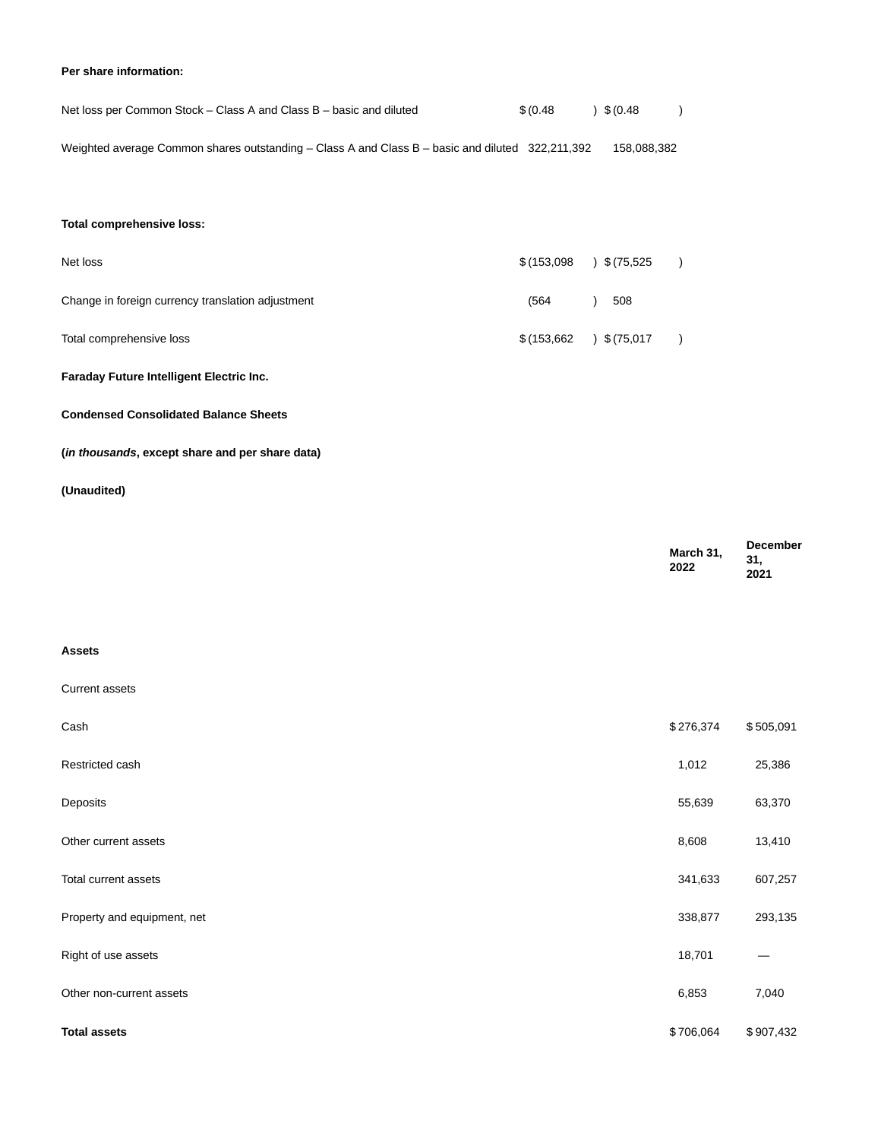# **Per share information:**

| Net loss per Common Stock – Class A and Class B – basic and diluted                              | \$10.48 | $\binom{1}{3}$ (0.48) |  |
|--------------------------------------------------------------------------------------------------|---------|-----------------------|--|
| Weighted average Common shares outstanding – Class A and Class B – basic and diluted 322,211,392 |         | 158.088.382           |  |

## **Total comprehensive loss:**

| Net loss                                          | \$(153,098)              | ) \$(75,525) |  |
|---------------------------------------------------|--------------------------|--------------|--|
| Change in foreign currency translation adjustment | (564)                    | 508          |  |
| Total comprehensive loss                          | $$(153,662)$ $$(75,017)$ |              |  |

# **Faraday Future Intelligent Electric Inc.**

## **Condensed Consolidated Balance Sheets**

## **(in thousands, except share and per share data)**

# **(Unaudited)**

|                             | March 31,<br>2022 | December<br>31,<br>2021 |
|-----------------------------|-------------------|-------------------------|
| <b>Assets</b>               |                   |                         |
| Current assets              |                   |                         |
| Cash                        | \$276,374         | \$505,091               |
| Restricted cash             | 1,012             | 25,386                  |
| Deposits                    | 55,639            | 63,370                  |
| Other current assets        | 8,608             | 13,410                  |
| Total current assets        | 341,633           | 607,257                 |
| Property and equipment, net | 338,877           | 293,135                 |
| Right of use assets         | 18,701            |                         |
| Other non-current assets    | 6,853             | 7,040                   |
| <b>Total assets</b>         | \$706,064         | \$907,432               |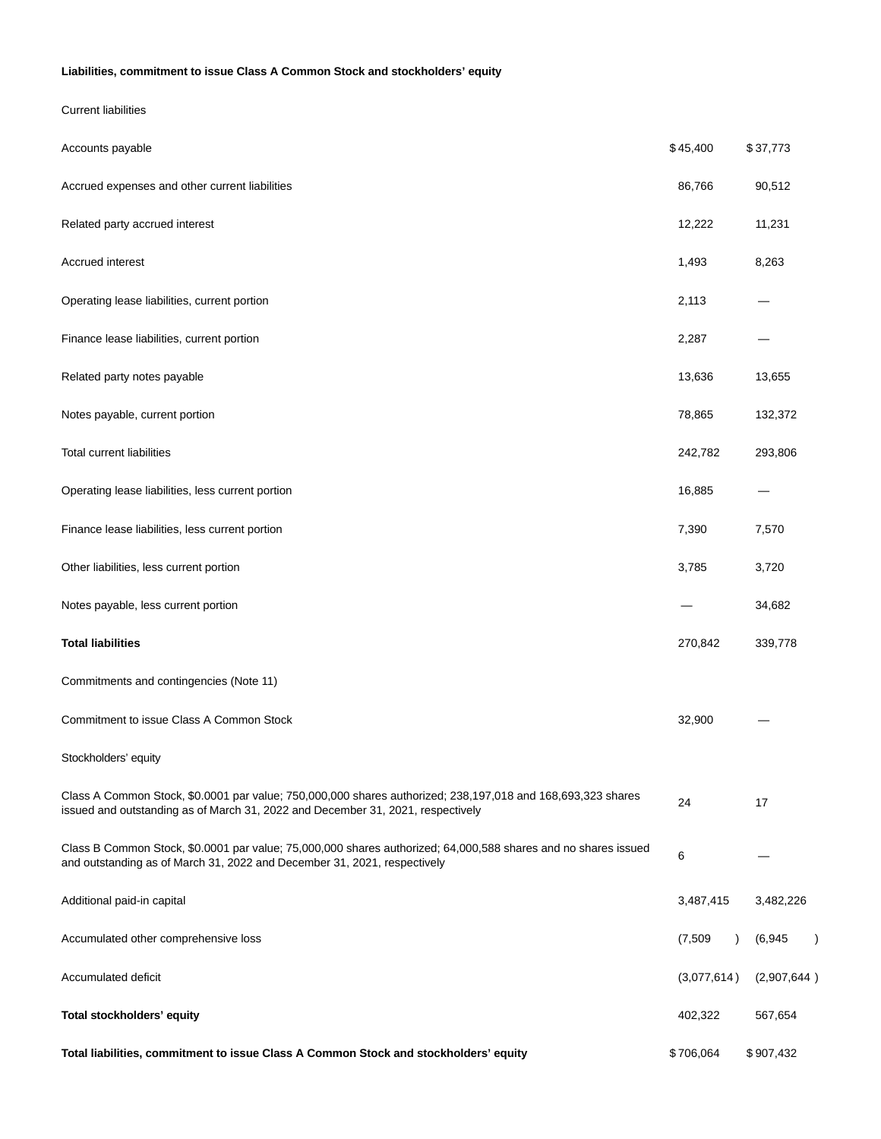# **Liabilities, commitment to issue Class A Common Stock and stockholders' equity**

Current liabilities

| Accounts payable                                                                                                                                                                               | \$45,400    | \$37,773    |
|------------------------------------------------------------------------------------------------------------------------------------------------------------------------------------------------|-------------|-------------|
| Accrued expenses and other current liabilities                                                                                                                                                 | 86,766      | 90,512      |
| Related party accrued interest                                                                                                                                                                 | 12,222      | 11,231      |
| Accrued interest                                                                                                                                                                               | 1,493       | 8,263       |
| Operating lease liabilities, current portion                                                                                                                                                   | 2,113       |             |
| Finance lease liabilities, current portion                                                                                                                                                     | 2,287       |             |
| Related party notes payable                                                                                                                                                                    | 13,636      | 13,655      |
| Notes payable, current portion                                                                                                                                                                 | 78,865      | 132,372     |
| <b>Total current liabilities</b>                                                                                                                                                               | 242,782     | 293,806     |
| Operating lease liabilities, less current portion                                                                                                                                              | 16,885      |             |
| Finance lease liabilities, less current portion                                                                                                                                                | 7,390       | 7,570       |
| Other liabilities, less current portion                                                                                                                                                        | 3,785       | 3,720       |
| Notes payable, less current portion                                                                                                                                                            |             | 34,682      |
| <b>Total liabilities</b>                                                                                                                                                                       | 270,842     | 339,778     |
| Commitments and contingencies (Note 11)                                                                                                                                                        |             |             |
| Commitment to issue Class A Common Stock                                                                                                                                                       | 32,900      |             |
| Stockholders' equity                                                                                                                                                                           |             |             |
| Class A Common Stock, \$0.0001 par value; 750,000,000 shares authorized; 238,197,018 and 168,693,323 shares<br>issued and outstanding as of March 31, 2022 and December 31, 2021, respectively | 24          | 17          |
| Class B Common Stock, \$0.0001 par value; 75,000,000 shares authorized; 64,000,588 shares and no shares issued<br>and outstanding as of March 31, 2022 and December 31, 2021, respectively     | 6           |             |
| Additional paid-in capital                                                                                                                                                                     | 3,487,415   | 3,482,226   |
| Accumulated other comprehensive loss                                                                                                                                                           | (7, 509)    | (6,945)     |
| Accumulated deficit                                                                                                                                                                            | (3,077,614) | (2,907,644) |
| Total stockholders' equity                                                                                                                                                                     | 402,322     | 567,654     |
| Total liabilities, commitment to issue Class A Common Stock and stockholders' equity                                                                                                           | \$706,064   | \$907,432   |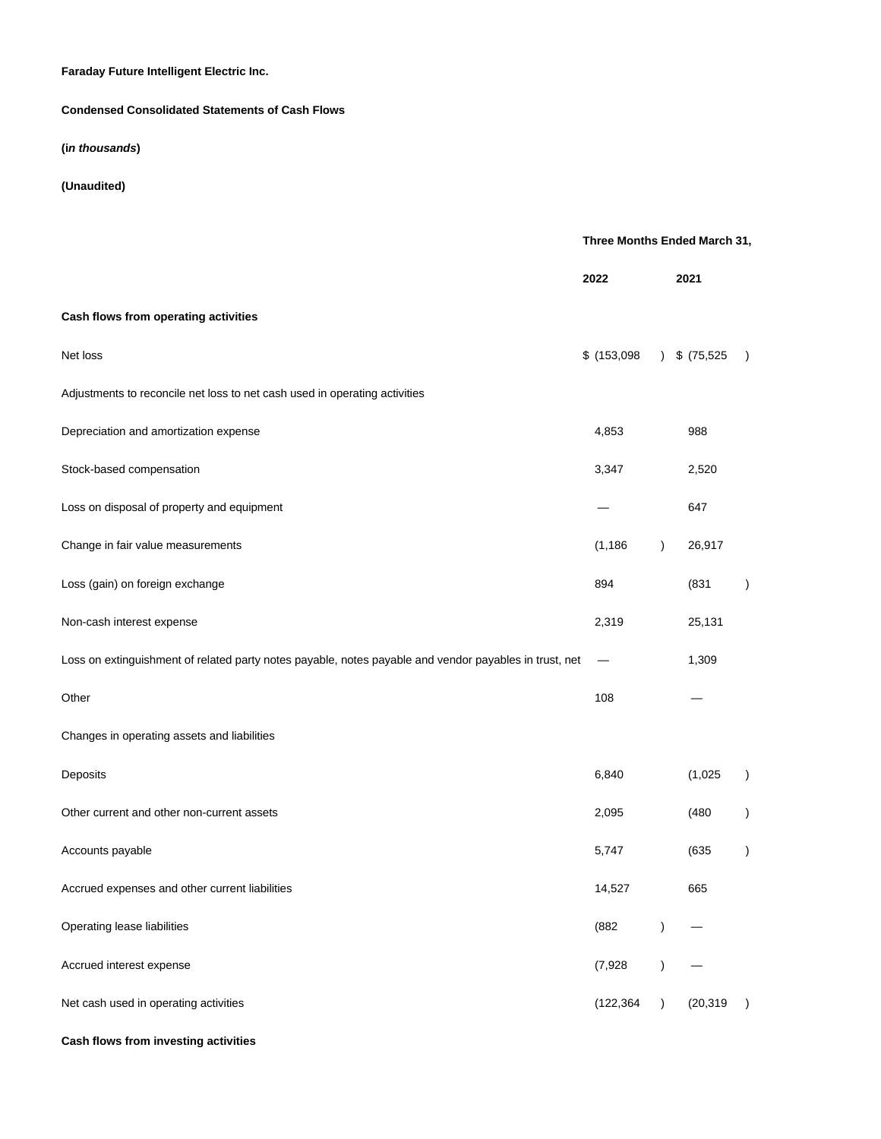# **Faraday Future Intelligent Electric Inc.**

## **Condensed Consolidated Statements of Cash Flows**

## **(in thousands)**

**(Unaudited)**

|                                                                                                        | Three Months Ended March 31, |               |              |               |
|--------------------------------------------------------------------------------------------------------|------------------------------|---------------|--------------|---------------|
|                                                                                                        | 2022                         |               | 2021         |               |
| Cash flows from operating activities                                                                   |                              |               |              |               |
| Net loss                                                                                               | \$(153,098)                  |               | ) \$ (75,525 | $\lambda$     |
| Adjustments to reconcile net loss to net cash used in operating activities                             |                              |               |              |               |
| Depreciation and amortization expense                                                                  | 4,853                        |               | 988          |               |
| Stock-based compensation                                                                               | 3,347                        |               | 2,520        |               |
| Loss on disposal of property and equipment                                                             |                              |               | 647          |               |
| Change in fair value measurements                                                                      | (1, 186)                     | $\mathcal{L}$ | 26,917       |               |
| Loss (gain) on foreign exchange                                                                        | 894                          |               | (831)        | $\mathcal{E}$ |
| Non-cash interest expense                                                                              | 2,319                        |               | 25,131       |               |
| Loss on extinguishment of related party notes payable, notes payable and vendor payables in trust, net |                              |               | 1,309        |               |
| Other                                                                                                  | 108                          |               |              |               |
| Changes in operating assets and liabilities                                                            |                              |               |              |               |
| Deposits                                                                                               | 6,840                        |               | (1,025)      | $\mathcal{E}$ |
| Other current and other non-current assets                                                             | 2,095                        |               | (480)        | $\mathcal{E}$ |
| Accounts payable                                                                                       | 5,747                        |               | (635)        | $\mathcal{E}$ |
| Accrued expenses and other current liabilities                                                         | 14,527                       |               | 665          |               |
| Operating lease liabilities                                                                            | (882)                        | $\lambda$     |              |               |
| Accrued interest expense                                                                               | (7,928)                      |               |              |               |
| Net cash used in operating activities                                                                  | (122, 364)                   | $\lambda$     | (20, 319)    | $\lambda$     |

## **Cash flows from investing activities**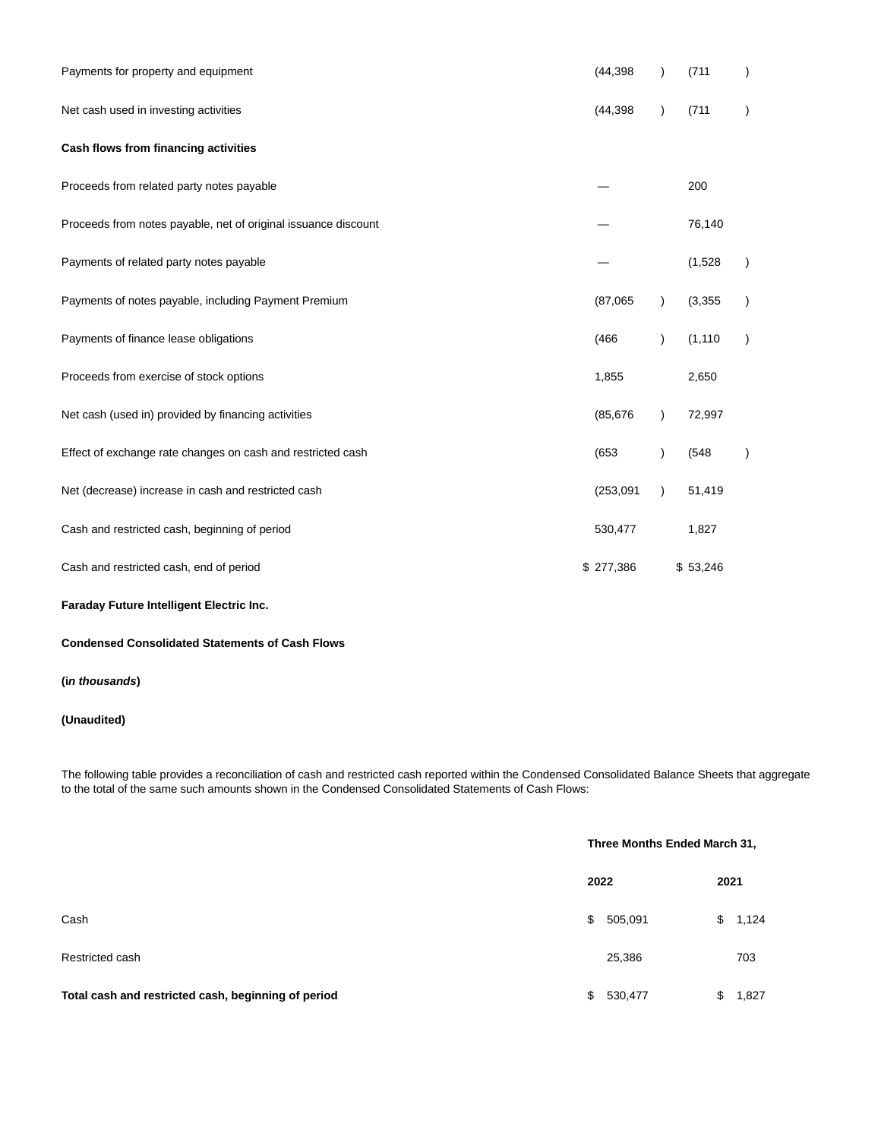| Payments for property and equipment                            | (44, 398) | (711)    | $\lambda$ |
|----------------------------------------------------------------|-----------|----------|-----------|
| Net cash used in investing activities                          | (44, 398) | (711)    |           |
| Cash flows from financing activities                           |           |          |           |
| Proceeds from related party notes payable                      |           | 200      |           |
| Proceeds from notes payable, net of original issuance discount |           | 76,140   |           |
| Payments of related party notes payable                        |           | (1,528)  | $\lambda$ |
| Payments of notes payable, including Payment Premium           | (87,065)  | (3, 355) |           |
| Payments of finance lease obligations                          | (466)     | (1, 110) |           |
| Proceeds from exercise of stock options                        | 1,855     | 2,650    |           |
| Net cash (used in) provided by financing activities            | (85, 676) | 72,997   |           |
| Effect of exchange rate changes on cash and restricted cash    | (653)     | (548)    |           |
| Net (decrease) increase in cash and restricted cash            | (253,091) | 51,419   |           |
| Cash and restricted cash, beginning of period                  | 530,477   | 1,827    |           |
| Cash and restricted cash, end of period                        | \$277,386 | \$53,246 |           |
| Faraday Future Intelligent Electric Inc.                       |           |          |           |

# **Condensed Consolidated Statements of Cash Flows**

## **(in thousands)**

# **(Unaudited)**

The following table provides a reconciliation of cash and restricted cash reported within the Condensed Consolidated Balance Sheets that aggregate to the total of the same such amounts shown in the Condensed Consolidated Statements of Cash Flows:

|                                                     | Three Months Ended March 31, |         |      |       |
|-----------------------------------------------------|------------------------------|---------|------|-------|
|                                                     |                              | 2022    | 2021 |       |
| Cash                                                | \$                           | 505,091 | \$   | 1,124 |
| Restricted cash                                     |                              | 25,386  |      | 703   |
| Total cash and restricted cash, beginning of period | \$                           | 530,477 | \$   | 1,827 |